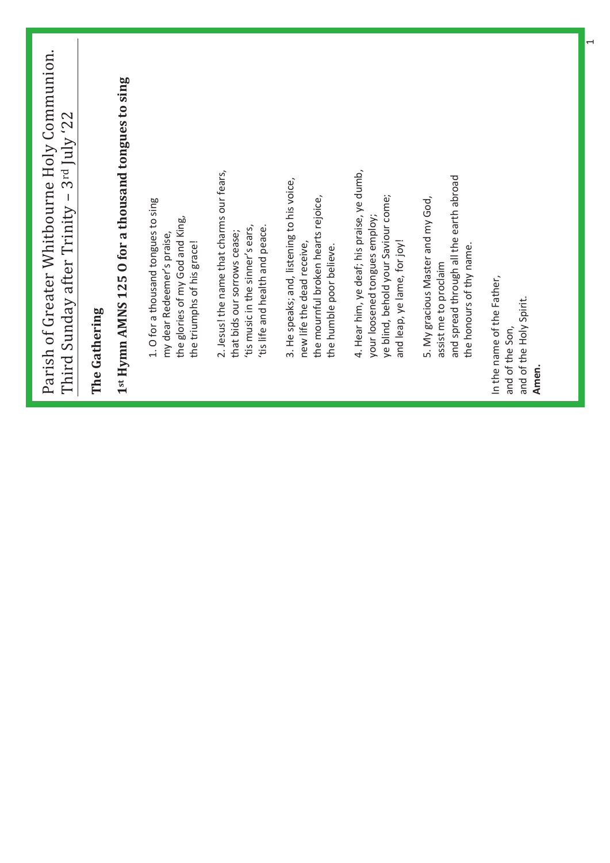| Parish of Greater Whitbourne Holy Communion.<br>Third Sunday after Trinity - 3rd July '22                                                         |
|---------------------------------------------------------------------------------------------------------------------------------------------------|
| The Gathering                                                                                                                                     |
| 1st Hymn AMNS 125 O for a thousand tongues to sing                                                                                                |
| 1. O for a thousand tongues to sing<br>the glories of my God and King,<br>my dear Redeemer's praise,<br>the triumphs of his grace!                |
| 2. Jesus! the name that charms our fears,<br>'tis music in the sinner's ears,<br>'tis life and health and peace.<br>that bids our sorrows cease;  |
| 3. He speaks; and, listening to his voice,<br>the mournful broken hearts rejoice,<br>new life the dead receive,<br>the humble poor believe.       |
| 4. Hear him, ye deaf; his praise, ye dumb,<br>ye blind, behold your Saviour come;<br>your loosened tongues employ;<br>and leap, ye lame, for joy! |
| and spread through all the earth abroad<br>5. My gracious Master and my God,<br>the honours of thy name.<br>assist me to proclaim                 |
| In the name of the Father,<br>and of the Holy Spirit.<br>and of the Son,<br>Amen.                                                                 |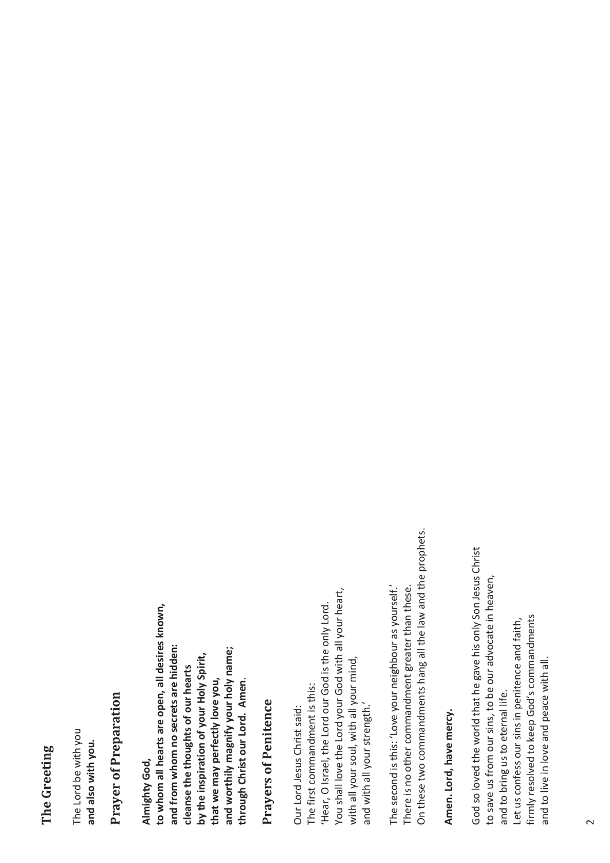#### **The Greeting**  The Greeting

The Lord be with you The Lord be with you **and also with you.**  and also with you.

### **Prayer of Preparation**  Prayer of Preparation

**to whom all hearts are open, all desires known,**  to whom all hearts are open, all desires known, **and from whom no secrets are hidden:**  and from whom no secrets are hidden: **and worthily magnify your holy name;**  and worthily magnify your holy name; **by the inspiration of your Holy Spirit,**  by the inspiration of your Holy Spirit, cleanse the thoughts of our hearts **cleanse the thoughts of our hearts**  that we may perfectly love you, **that we may perfectly love you,**  through Christ our Lord. Amen. **through Christ our Lord. Almighty God,**  Almighty God,

#### **Prayers of Penitence**  Prayers of Penitence

You shall love the Lord your God with all your heart, You shall love the Lord your God with all your heart, 'Hear, O Israel, the Lord our God is the only Lord. 'Hear, O Israel, the Lord our God is the only Lord. with all your soul, with all your mind, with all your soul, with all your mind, The first commandment is this: The first commandment is this: and with all your strength.' and with all your strength.' Our Lord Jesus Christ said: Our Lord Jesus Christ said:

On these two commandments hang all the law and the prophets. On these two commandments hang all the law and the prophets. The second is this: 'Love your neighbour as yourself.' There is no other commandment greater than these. There is no other commandment greater than these. The second is this: 'Love your neighbour as yourself.'

#### Amen. Lord, have mercy. **Amen. Lord, have mercy.**

God so loved the world that he gave his only Son Jesus Christ God so loved the world that he gave his only Son Jesus Christ to save us from our sins, to be our advocate in heaven, to save us from our sins, to be our advocate in heaven, firmly resolved to keep God's commandments Let us confess our sins in penitence and faith, firmly resolved to keep God's commandments Let us confess our sins in penitence and faith, and to live in love and peace with all. and to live in love and peace with all. and to bring us to eternal life. and to bring us to eternal life.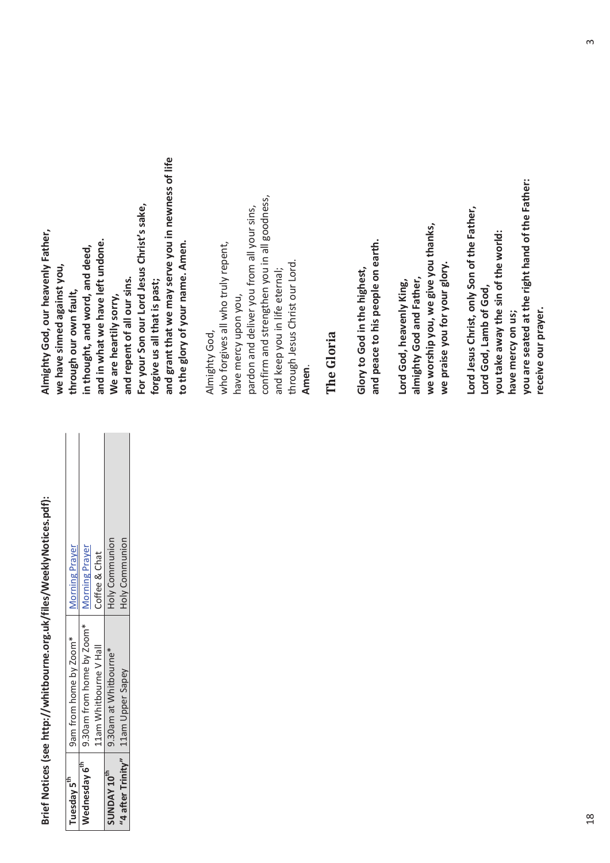# **eklyNotices.pdf):**  Brief Notices (see http://whitbourne.org.uk/files/WeeklyNotices.pdf): **Brief Notices (see http://whitbourne.org.uk/files/We**

| uesdav 5         | 9am from home by Zoom*                                      | Morning Prayer        |
|------------------|-------------------------------------------------------------|-----------------------|
|                  | <b>Mednesday 6</b> $\blacksquare$ 9.30am from home by Zoom* | Morning Prayer        |
|                  | 11am Whitbourne V Hall                                      | Coffee & Chat         |
| <b>SUNDAY 10</b> | 9.30am at Whitbourne*                                       | <b>Holy Communion</b> |
|                  | "4 after Trinity"   11am Upper Sapey                        | Holy Communion        |
|                  |                                                             |                       |

and grant that we may serve you in newness of life **and grant that we may serve you in newness of life**  For your Son our Lord Jesus Christ's sake, **For your Son our Lord Jesus Christ's sake,** Almighty God, our heavenly Father, **Almighty God, our heavenly Father, and in what we have left undone. to the glory of your name. Amen.**  and in what we have left undone. to the glory of your name. Amen. **in thought, and word, and deed,**  in thought, and word, and deed, **we have sinned against you,**  we have sinned against you, **and repent of all our sins.**  and repent of all our sins. **forgive us all that is past;**  forgive us all that is past; **through our own fault,**  through our own fault, We are heartily sorry, **We are heartily sorry,** 

#### Almighty God, Almighty God,

confirm and strengthen you in all goodness, confirm and strengthen you in all goodness, pardon and deliver you from all your sins, pardon and deliver you from all your sins, who forgives all who truly repent, who forgives all who truly repent, through Jesus Christ our Lord. through Jesus Christ our Lord. and keep you in life eternal; and keep you in life eternal; have mercy upon you, have mercy upon you, **Amen**.

#### The Gloria **The Gloria**

and peace to his people on earth. **and peace to his people on earth. Glory to God in the highest,**  Glory to God in the highest,

**we worship you, we give you thanks,**  we worship you, we give you thanks, **we praise you for your glory.**  we praise you for your glory. **almighty God and Father,**  almighty God and Father, **Lord God, heavenly King,**  Lord God, heavenly King,

**you are seated at the right hand of the Father:**  you are seated at the right hand of the Father: Lord Jesus Christ, only Son of the Father, **Lord Jesus Christ, only Son of the Father, you take away the sin of the world:**  you take away the sin of the world: **Lord God, Lamb of God,**  Lord God, Lamb of God, **receive our prayer.**  receive our prayer. **have mercy on us;**  have mercy on us;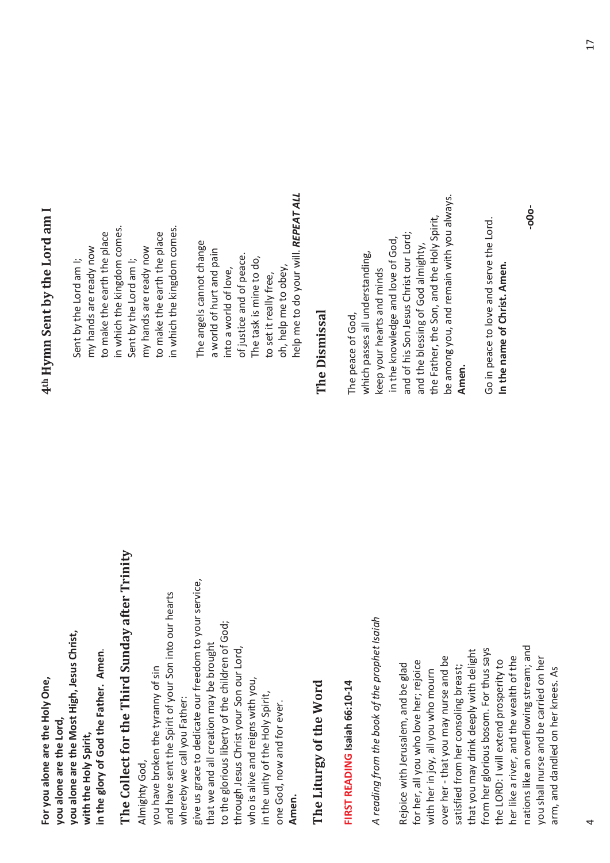**For you alone are the Holy One,<br>you alone are the Lord,<br>you alone are the Most High, Jesus Christ,<br>with the Holy Spirit,** in the glory of God the Father. Amen.

# **The Collect for the Third Sunday after Trinity**  The Collect for the Third Sunday after Trinity

give us grace to dedicate our freedom to your service, give us grace to dedicate our freedom to your service, and have sent the Spirit of your Son into our hearts and have sent the Spirit of your Son into our hearts to the glorious liberty of the children of God; to the glorious liberty of the children of God; that we and all creation may be brought that we and all creation may be brought through Jesus Christ your Son our Lord, through Jesus Christ your Son our Lord, you have broken the tyranny of sin you have broken the tyranny of sin who is alive and reigns with you, who is alive and reigns with you, in the unity of the Holy Spirit, in the unity of the Holy Spirit, whereby we call you Father: whereby we call you Father: one God, now and for ever. one God, now and for ever. Almighty God, Almighty God, **Amen.** 

## **The Liturgy of the Word**  The Liturgy of the Word

## **FIRST READING Isaiah 66:10-14**  FIRST READING Isaiah 66:10-14

*A reading from the book of the prophet Isaiah*  A reading from the book of the prophet Isaiah

nations like an overflowing stream; and from her glorious bosom. For thus says nations like an overflowing stream; and that you may drink deeply with delight from her glorious bosom. For thus says that you may drink deeply with delight over her - that you may nurse and be her like a river, and the wealth of the her like a river, and the wealth of the you shall nurse and be carried on her over her - that you may nurse and be ou shall nurse and be carried on her the LORD: I will extend prosperity to for her, all you who love her; rejoice the LORD: I will extend prosperity to Rejoice with Jerusalem, and be glad for her, all you who love her; rejoice Rejoice with Jerusalem, and be glad satisfied from her consoling breast; satisfied from her consoling breast; arm, and dandled on her knees. As arm, and dandled on her knees. As with her in joy, all you who mourn with her in joy, all you who mourn

## **4th Hymn Sent by the Lord am I**  4th Hymn Sent by the Lord am I

in which the kingdom comes. in which the kingdom comes. in which the kingdom comes. in which the kingdom comes. to make the earth the place to make the earth the place to make the earth the place to make the earth the place my hands are ready now my hands are ready now my hands are ready now my hands are ready now Sent by the Lord am I; Sent by the Lord am I; Sent by the Lord am I; Sent by the Lord am I;

help me to do your will. REPEAT ALL help me to do your will. *REPEAT ALL* The angels cannot change The angels cannot change a world of hurt and pain a world of hurt and pain of justice and of peace. of justice and of peace. The task is mine to do, The task is mine to do, oh, help me to obey, into a world of love, oh, help me to obey, into a world of love, to set it really free, to set it really free,

#### **The Dismissal**  The Dismissal

be among you, and remain with you always. be among you, and remain with you always. the Father, the Son, and the Holy Spirit, the Father, the Son, and the Holy Spirit, and of his Son Jesus Christ our Lord; and of his Son Jesus Christ our Lord; in the knowledge and love of God, in the knowledge and love of God, and the blessing of God almighty, and the blessing of God almighty, which passes all understanding, which passes all understanding, keep your hearts and minds keep your hearts and minds The peace of God, The peace of God, **Amen.** 

Go in peace to love and serve the Lord. Go in peace to love and serve the Lord. **In the name of Christ. Amen.**  In the name of Christ. Amen.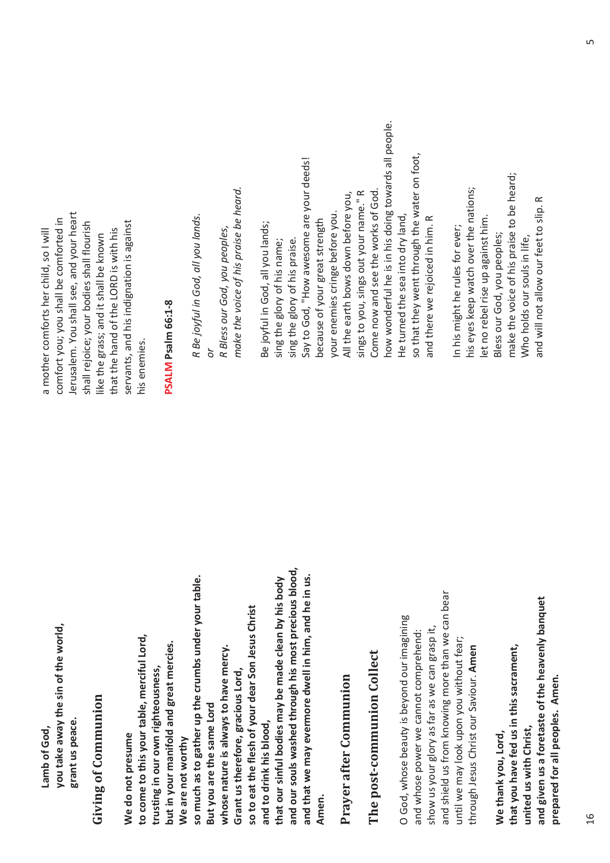**you take away the sin of the world,**  you take away the sin of the world, **grant us peace.**  grant us peace. Lamb of God. **Lamb of God,** 

#### **Giving of Communion Giving of Communion**

**and our souls washed through his most precious blood,**  and our souls washed through his most precious blood, **and that we may evermore dwell in him, and he in us. so much as to gather up the crumbs under your table. that our sinful bodies may be made clean by his body**  and that we may evermore dwell in him, and he in us. so much as to gather up the crumbs under your table. that our sinful bodies may be made clean by his body **so to eat the flesh of your dear Son Jesus Christ**  so to eat the flesh of your dear Son Jesus Christ **to come to this your table, merciful Lord,**  to come to this your table, merciful Lord, **but in your manifold and great mercies.**  but in your manifold and great mercies. **whose nature is always to have mercy.**  whose nature is always to have mercy. **trusting in our own righteousness, Grant us therefore, gracious Lord,**  rusting in our own righteousness, Grant us therefore, gracious Lord, **But you are the same Lord**  But you are the same Lord and to drink his blood, **and to drink his blood,**  We do not presume **We do not presume Ne are not worthy We are not worthy Amen.** 

## **Prayer after Communion**  Prayer after Communion

## **The post-communion Collect**  The post-communion Collect

and shield us from knowing more than we can bear and shield us from knowing more than we can bear O God, whose beauty is beyond our imagining O God, whose beauty is beyond our imagining show us your glory as far as we can grasp it, show us your glory as far as we can grasp it, and whose power we cannot comprehend: and whose power we cannot comprehend: until we may look upon you without fear; until we may look upon you without fear; through Jesus Christ our Saviour. Amen through Jesus Christ our Saviour. **Amen**

**and given us a foretaste of the heavenly banquet**  and given us a foretaste of the heavenly banquet **that you have fed us in this sacrament,**  that you have fed us in this sacrament, **prepared for all peoples. Amen.** prepared for all peoples. Amen. **united us with Christ,**  united us with Christ, **We thank you, Lord,**  We thank you, Lord,

Jerusalem. You shall see, and your heart lerusalem. You shall see, and your heart comfort you; you shall be comforted in comfort you; you shall be comforted in shall rejoice; your bodies shall flourish servants, and his indignation is against shall rejoice; your bodies shall flourish servants, and his indignation is against a mother comforts her child, so I will a mother comforts her child, so I will that the hand of the LORD is with his that the hand of the LORD is with his like the grass; and it shall be known ike the grass; and it shall be known his enemies. nis enemies.

#### **PSALM Psalm 66:1-8**  PSALM Psalm 66:1-8

*make the voice of his praise be heard.*  make the voice of his praise be heard. *R Be joyful in God, all you lands.*  R Be joyful in God, all you lands. *R Bless our God, you peoples,*  R Bless our God, you peoples, *or* 

how wonderful he is in his doing towards all people. now wonderful he is in his doing towards all people. so that they went through the water on foot, so that they went through the water on foot, Say to God, "How awesome are your deeds! Say to God, "How awesome are your deeds! Come now and see the works of God. All the earth bows down before you, sings to you, sings out your name." R sings to you, sings out your name." R Come now and see the works of God All the earth bows down before you, your enemies cringe before you. He turned the sea into dry land, your enemies cringe before you. and there we rejoiced in him. R He turned the sea into dry land, and there we rejoiced in him. R because of your great strength because of your great strength Be joyful in God, all you lands; Be joyful in God, all you lands; sing the glory of his praise. sing the glory of his name; sing the glory of his name; sing the glory of his praise.

make the voice of his praise to be heard; make the voice of his praise to be heard; his eyes keep watch over the nations; his eyes keep watch over the nations; and will not allow our feet to slip. R and will not allow our feet to slip. R let no rebel rise up against him. let no rebel rise up against him. In his might he rules for ever; In his might he rules for ever; Bless our God, you peoples; Bless our God, you peoples; Who holds our souls in life, Who holds our souls in life,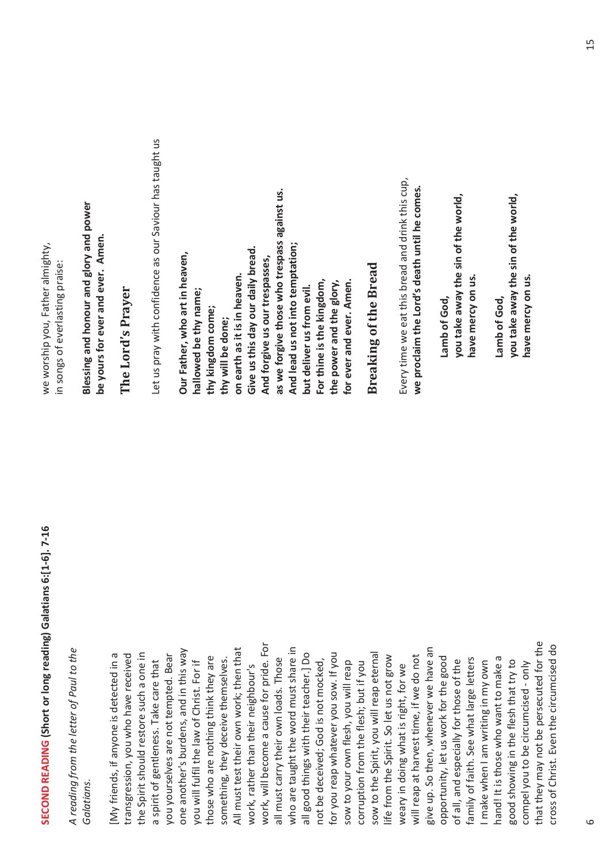# **(Short or long reading) Galatians 6:[1-6]. 7-16**  SECOND READING (Short or long reading) Galatians 6:[1-6]. 7-16 **SECOND READING**

*A reading from the letter of Paul to the*  A reading from the letter of Paul to the *Galatians.* 

that they may not be persecuted for the work, will become a cause for pride. For that they may not be persecuted for the cross of Christ. Even the circumcised do cross of Christ. Even the circumcised do All must test their own work; then that work, will become a cause for pride. For who are taught the word must share in give up. So then, whenever we have an one another's burdens, and in this way All must test their own work; then that who are taught the word must share in give up. So then, whenever we have an sow to the Spirit, you will reap eternal the Spirit should restore such a one in one another's burdens, and in this way all good things with their teacher.] Do for you reap whatever you sow. If you My friends, if anyone is detected in a [My friends, if anyone is detected in a transgression, you who have received you yourselves are not tempted. Bear for you reap whatever you sow. If you sow to the Spirit, you will reap eternal transgression, you who have received the Spirit should restore such a one in ou yourselves are not tempted. Bear all good things with their teacher.] Do life from the Spirit. So let us not grow will reap at harvest time, if we do not will reap at harvest time, if we do not those who are nothing think they are something, they deceive themselves. all must carry their own loads. Those ife from the Spirit. So let us not grow opportunity, let us work for the good nand! It is those who want to make a hand! It is those who want to make a those who are nothing think they are all must carry their own loads. Those opportunity, let us work for the good family of faith. See what large letters something, they deceive themselves. not be deceived; God is not mocked, amily of faith. See what large letters a spirit of gentleness. Take care that you will fulfil the law of Christ. For if not be deceived; God is not mocked, sow to your own flesh, you will reap corruption from the flesh; but if you corruption from the flesh; but if you of all, and especially for those of the of all, and especially for those of the I make when I am writing in my own good showing in the flesh that try to good showing in the flesh that try to a spirit of gentleness. Take care that you will fulfil the law of Christ. For if sow to your own flesh, you will reap make when I am writing in my own compel you to be circumcised - only weary in doing what is right, for we compel you to be circumcised - only work, rather than their neighbour's work, rather than their neighbour's weary in doing what is right, for we

we worship you, Father almighty, we worship you, Father almighty, in songs of everlasting praise: in songs of everlasting praise:

**Blessing and honour and glory and power**  Blessing and honour and glory and power **be yours for ever and ever. Amen.**  be yours for ever and ever. Amen.

**The Lord's Prayer**  The Lord's Praver

Let us pray with confidence as our Saviour has taught us Let us pray with confidence as our Saviour has taught us

**as we forgive those who trespass against us.**  as we forgive those who trespass against us. **And lead us not into temptation; Give us this day our daily bread.**  And lead us not into temptation; Give us this day our daily bread. **Our Father, who art in heaven,**  Our Father, who art in heaven, **And forgive us our trespasses,**  And forgive us our trespasses, **on earth as it is in heaven.**  on earth as it is in heaven. **For thine is the kingdom, the power and the glory, for ever and ever. Amen.**  for ever and ever. Amen. For thine is the kingdom, the power and the glory, **but deliver us from evil.**  but deliver us from evil. **hallowed be thy name;**  hallowed be thy name; **thy kingdom come;**  thy kingdom come; thy will be done; **thy will be done;** 

**Breaking of the Bread Breaking of the Bread** 

Every time we eat this bread and drink this cup, Every time we eat this bread and drink this cup, **we proclaim the Lord's death until he comes.**  we proclaim the Lord's death until he comes.

**you take away the sin of the world,**  ou take away the sin of the world, **have mercy on us.**  have mercy on us. **Lamb of God,**  amb of God,

**you take away the sin of the world,**  you take away the sin of the world, **have mercy on us.**  have mercy on us. **Lamb of God,**  Lamb of God,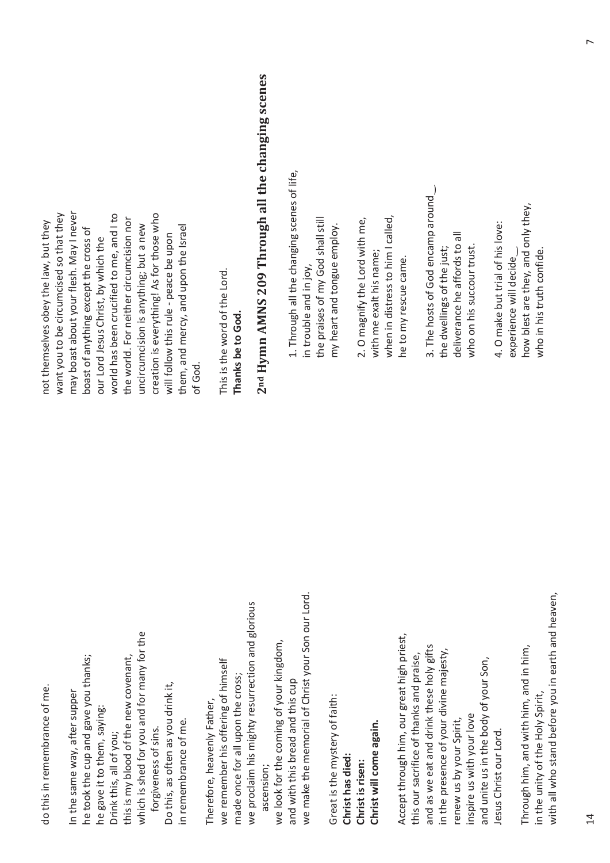do this in remembrance of me. do this in remembrance of me.

which is shed for you and for many for the which is shed for you and for many for the he took the cup and gave you thanks; this is my blood of the new covenant, he took the cup and gave you thanks; this is my blood of the new covenant, Do this, as often as you drink it, Do this, as often as you drink it, In the same way, after supper In the same way, after supper he gave it to them, saying: he gave it to them, saying: in remembrance of me. in remembrance of me. forgiveness of sins. forgiveness of sins. Drink this, all of you; Drink this, all of you;

we make the memorial of Christ your Son our Lord. we make the memorial of Christ your Son our Lord we proclaim his mighty resurrection and glorious we proclaim his mighty resurrection and glorious we look for the coming of your kingdom, we look for the coming of your kingdom, we remember his offering of himself we remember his offering of himself made once for all upon the cross; made once for all upon the cross; and with this bread and this cup and with this bread and this cup Therefore, heavenly Father, Therefore, heavenly Father, ascension; ascension;

Great is the mystery of faith: Great is the mystery of faith: **Christ will come again.**  Christ will come again. **Christ has died:**  Christ has died: **Christ is risen:**  Christ is risen:

Accept through him, our great high priest, Accept through him, our great high priest, and as we eat and drink these holy gifts and as we eat and drink these holy gifts in the presence of your divine majesty, in the presence of your divine majesty, this our sacrifice of thanks and praise, this our sacrifice of thanks and praise, and unite us in the body of your Son, and unite us in the body of your Son, inspire us with your love inspire us with your love renew us by your Spirit, renew us by your Spirit, Jesus Christ our Lord. lesus Christ our Lord.

with all who stand before you in earth and heaven, with all who stand before you in earth and heaven, Through him, and with him, and in him, Through him, and with him, and in him, in the unity of the Holy Spirit, in the unity of the Holy Spirit,

may boast about your flesh. May I never want you to be circumcised so that they creation is everything! As for those who may boast about your flesh. May I never world has been crucified to me, and I to want you to be circumcised so that they world has been crucified to me, and I to creation is everything! As for those who the world. For neither circumcision nor the world. For neither circumcision nor not themselves obey the law, but they not themselves obey the law, but they uncircumcision is anything; but a new uncircumcision is anything; but a new them, and mercy, and upon the Israel them, and mercy, and upon the Israel boast of anything except the cross of poast of anything except the cross of will follow this rule - peace be upon will follow this rule - peace be upon our Lord Jesus Christ, by which the our Lord Jesus Christ, by which the of God.

This is the word of the Lord. This is the word of the Lord. **Thanks be to God.**  Thanks be to God.

# **2nd Hymn AMNS 209 Through all the changing scenes**  2<sup>nd</sup> Hymn AMNS 209 Through all the changing scenes

1. Through all the changing scenes of life, 1. Through all the changing scenes of life, the praises of my God shall still the praises of my God shall still my heart and tongue employ. my heart and tongue employ. in trouble and in joy, in trouble and in joy,

when in distress to him I called, 2. O magnify the Lord with me, when in distress to him I called, 2. O magnify the Lord with me, with me exalt his name; with me exalt his name; he to my rescue came. ne to my rescue came. 3. The hosts of God encamp around 3. The hosts of God encamp around  $\overline{\phantom{a}}$ deliverance he affords to all deliverance he affords to all who on his succour trust. the dwellings of the just; who on his succour trust. the dwellings of the just;

how blest are they, and only they, how blest are they, and only they, 4. O make but trial of his love: 4. O make but trial of his love: who in his truth confide. experience will decide ͜ who in his truth confide. experience will decide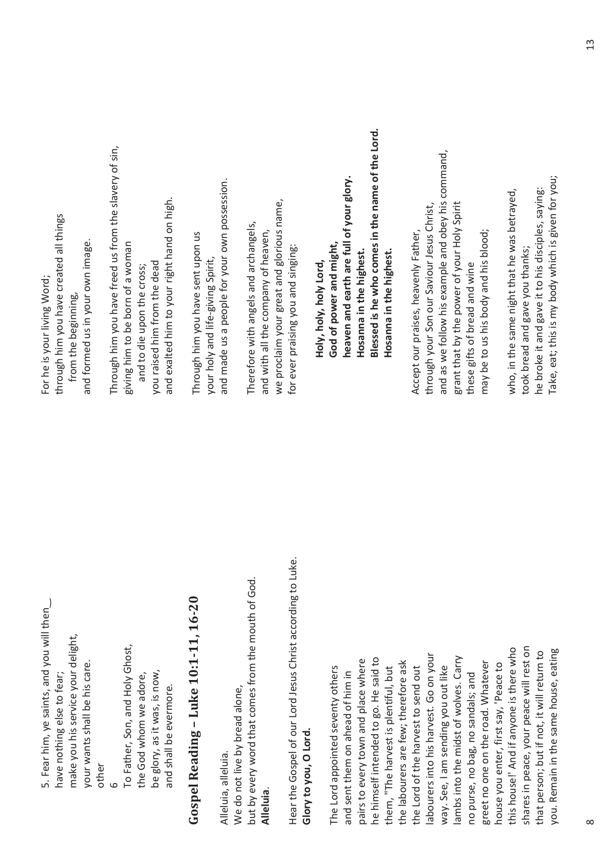5. Fear him, ye saints, and you will then 5. Fear him, ye saints, and you will then  $_{\rm max}$ make you his service your delight, make you his service your delight, To Father, Son, and Holy Ghost, To Father, Son, and Holy Ghost, your wants shall be his care. your wants shall be his care. be glory, as it was, is now, have nothing else to fear; the God whom we adore, be glory, as it was, is now, the God whom we adore, have nothing else to fear; and shall be evermore. and shall be evermore. other 6

# **Gospel Reading – Luke 10:1-11, 16-20**  Gospel Reading - Luke 10:1-11, 16-20

but by every word that comes from the mouth of God. but by every word that comes from the mouth of God. We do not live by bread alone, We do not live by bread alone, Alleluia, alleluia. Alleluia, alleluia. **Alleluia**.

Hear the Gospel of our Lord Jesus Christ according to Luke. Hear the Gospel of our Lord Jesus Christ according to Luke. **Glory to you, O Lord.**  Glory to you, O Lord.

shares in peace, your peace will rest on this house!' And if anyone is there who shares in peace, your peace will rest on this house!' And if anyone is there who you. Remain in the same house, eating that person; but if not, it will return to that person; but if not, it will return to you. Remain in the same house, eating labourers into his harvest. Go on your abourers into his harvest. Go on your lambs into the midst of wolves. Carry he himself intended to go. He said to pairs to every town and place where ne himself intended to go. He said to lambs into the midst of wolves. Carry pairs to every town and place where the labourers are few; therefore ask greet no one on the road. Whatever the labourers are few; therefore ask greet no one on the road. Whatever house you enter, first say, 'Peace to house you enter, first say, 'Peace to way. See, I am sending you out like The Lord appointed seventy others The Lord appointed seventy others them, "The harvest is plentiful, but the Lord of the harvest to send out the Lord of the harvest to send out way. See, I am sending you out like them, "The harvest is plentiful, but and sent them on ahead of him in and sent them on ahead of him in no purse, no bag, no sandals; and no purse, no bag, no sandals; and

through him you have created all things through him you have created all things and formed us in your own image. and formed us in your own image. For he is your living Word; For he is your living Word; from the beginning, from the beginning,

Through him you have freed us from the slavery of sin, Through him you have freed us from the slavery of sin, and exalted him to your right hand on high. and exalted him to your right hand on high. giving him to be born of a woman giving him to be born of a woman you raised him from the dead you raised him from the dead and to die upon the cross; and to die upon the cross;

and made us a people for your own possession. and made us a people for your own possession. Through him you have sent upon us Through him you have sent upon us your holy and life-giving Spirit, your holy and life-giving Spirit

we proclaim your great and glorious name, we proclaim your great and glorious name, Therefore with angels and archangels, Therefore with angels and archangels, and with all the company of heaven, and with all the company of heaven, for ever praising you and singing: for ever praising you and singing:

**Blessed is he who comes in the name of the Lord.**  Blessed is he who comes in the name of the Lord. **heaven and earth are full of your glory.**  heaven and earth are full of your glory. **God of power and might,**  God of power and might, **Hosanna in the highest. Hosanna in the highest.**  Hosanna in the highest. **Hosanna in the highest. Holy, holy, holy Lord,**  Holy, holy, holy Lord,

and as we follow his example and obey his command, and as we follow his example and obey his command, grant that by the power of your Holy Spirit through your Son our Saviour Jesus Christ, grant that by the power of your Holy Spirit through your Son our Saviour Jesus Christ, Accept our praises, heavenly Father, may be to us his body and his blood; Accept our praises, heavenly Father, may be to us his body and his blood; these gifts of bread and wine these gifts of bread and wine

Take, eat; this is my body which is given for you; Take, eat; this is my body which is given for you; he broke it and gave it to his disciples, saying: who, in the same night that he was betrayed, ne broke it and gave it to his disciples, saying: who, in the same night that he was betrayed, took bread and gave you thanks; took bread and gave you thanks;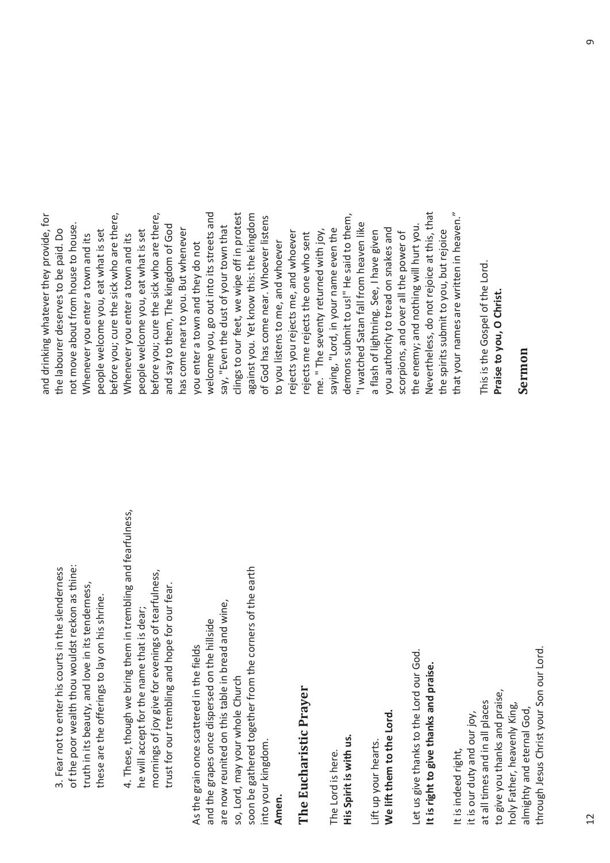of the poor wealth thou wouldst reckon as thine: of the poor wealth thou wouldst reckon as thine: 3. Fear not to enter his courts in the slenderness 3. Fear not to enter his courts in the slenderness truth in its beauty, and love in its tenderness, truth in its beauty, and love in its tenderness, these are the offerings to lay on his shrine. these are the offerings to lay on his shrine.

4. These, though we bring them in trembling and fearfulness, 4. These, though we bring them in trembling and fearfulness, mornings of joy give for evenings of tearfulness, mornings of joy give for evenings of tearfulness, trust for our trembling and hope for our fear. trust for our trembling and hope for our fear. he will accept for the name that is dear; he will accept for the name that is dear;

soon be gathered together from the corners of the earth soon be gathered together from the corners of the earth are now reunited on this table in bread and wine, are now reunited on this table in bread and wine, and the grapes once dispersed on the hillside and the grapes once dispersed on the hillside As the grain once scattered in the fields As the grain once scattered in the fields so, Lord, may your whole Church so, Lord, may your whole Church into your kingdom. nto your kingdom. **Amen.** 

### **The Eucharistic Prayer**  The Eucharistic Prayer

**His Spirit is with us.**  His Spirit is with us. The Lord is here. The Lord is here.

**We lift them to the Lord.**  We lift them to the Lord. Lift up your hearts. Lift up your hearts.

Let us give thanks to the Lord our God. Let us give thanks to the Lord our God. **It is right to give thanks and praise.**  It is right to give thanks and praise.

through Jesus Christ your Son our Lord. through Jesus Christ your Son our Lord. to give you thanks and praise, to give you thanks and praise, at all times and in all places at all times and in all places holy Father, heavenly King, holy Father, heavenly King, almighty and eternal God, almighty and eternal God, it is our duty and our joy, it is our duty and our joy, It is indeed right, It is indeed right,

welcome you, go out into its streets and Nevertheless, do not rejoice at this, that before you; cure the sick who are there, before you; cure the sick who are there, clings to our feet, we wipe off in protest against you. Yet know this: the kingdom Nevertheless, do not rejoice at this, that and drinking whatever they provide, for welcome you, go out into its streets and clings to our feet, we wipe off in protest demons submit to us!" He said to them, and drinking whatever they provide, for before you; cure the sick who are there, before you; cure the sick who are there, against you. Yet know this: the kingdom of God has come near. Whoever listens demons submit to us!" He said to them, that your names are written in heaven." that your names are written in heaven." of God has come near. Whoever listens not move about from house to house. "I watched Satan fall from heaven like 'I watched Satan fall from heaven like the enemy; and nothing will hurt you. not move about from house to house. and say to them, The kingdom of God and say to them, The kingdom of God say, "Even the dust of your town that say, "Even the dust of your town that the enemy; and nothing will hurt you. has come near to you. But whenever you authority to tread on snakes and the labourer deserves to be paid. Do the labourer deserves to be paid. Do people welcome you, eat what is set people welcome you, eat what is set me. " The seventy returned with joy, saying, "Lord, in your name even the saying, "Lord, in your name even the ou authority to tread on snakes and he spirits submit to you, but rejoice beople welcome you, eat what is set beople welcome you, eat what is set as come near to you. But whenever rejects you rejects me, and whoever a flash of lightning. See, I have given the spirits submit to you, but rejoice me. " The seventy returned with joy, scorpions, and over all the power of rejects you rejects me, and whoever rejects me rejects the one who sent a flash of lightning. See, I have given scorpions, and over all the power of Whenever you enter a town and its Whenever you enter a town and its Whenever you enter a town and its Whenever you enter a town and its rejects me rejects the one who sent to you listens to me, and whoever to you listens to me, and whoever you enter a town and they do not you enter a town and they do not

This is the Gospel of the Lord. This is the Gospel of the Lord. **Praise to you, O Christ.**  Praise to you, O Christ.

#### **Sermon**